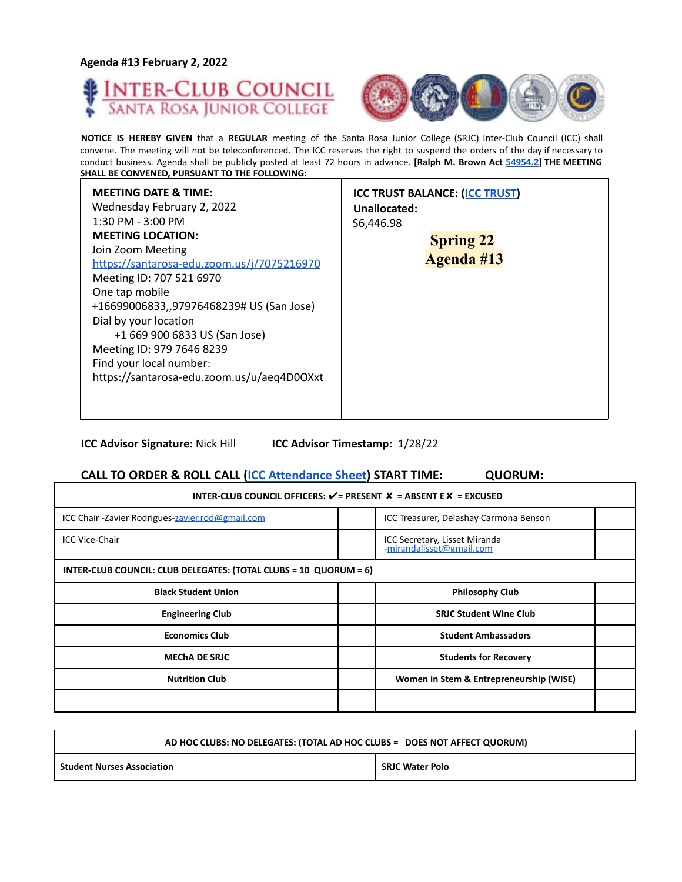**Agenda #13 February 2, 2022**





┓

**NOTICE IS HEREBY GIVEN** that a **REGULAR** meeting of the Santa Rosa Junior College (SRJC) Inter-Club Council (ICC) shall convene. The meeting will not be teleconferenced. The ICC reserves the right to suspend the orders of the day if necessary to conduct business. Agenda shall be publicly posted at least 72 hours in advance. **[Ralph M. Brown Act 54954.2] THE MEETING SHALL BE CONVENED, PURSUANT TO THE FOLLOWING:**

| <b>MEETING DATE &amp; TIME:</b><br>Wednesday February 2, 2022<br>$1:30$ PM - $3:00$ PM<br><b>MEETING LOCATION:</b><br>Join Zoom Meeting<br>https://santarosa-edu.zoom.us/j/7075216970<br>Meeting ID: 707 521 6970<br>One tap mobile<br>+16699006833,,97976468239# US (San Jose)<br>Dial by your location<br>+1 669 900 6833 US (San Jose)<br>Meeting ID: 979 7646 8239<br>Find your local number:<br>https://santarosa-edu.zoom.us/u/aeq4D0OXxt | <b>ICC TRUST BALANCE: (ICC TRUST)</b><br>Unallocated:<br>\$6,446.98<br><b>Spring 22</b><br><b>Agenda #13</b> |
|-------------------------------------------------------------------------------------------------------------------------------------------------------------------------------------------------------------------------------------------------------------------------------------------------------------------------------------------------------------------------------------------------------------------------------------------------|--------------------------------------------------------------------------------------------------------------|
|-------------------------------------------------------------------------------------------------------------------------------------------------------------------------------------------------------------------------------------------------------------------------------------------------------------------------------------------------------------------------------------------------------------------------------------------------|--------------------------------------------------------------------------------------------------------------|

**ICC Advisor Signature:** Nick Hill **ICC Advisor Timestamp:** 1/28/22

## **CALL TO ORDER & ROLL CALL (ICC Attendance Sheet) START TIME: QUORUM:**

| INTER-CLUB COUNCIL OFFICERS: $V =$ PRESENT $X =$ ABSENT E $X =$ EXCUSED |  |                                                           |  |
|-------------------------------------------------------------------------|--|-----------------------------------------------------------|--|
| ICC Chair -Zavier Rodrigues-zavier.rod@gmail.com                        |  | ICC Treasurer, Delashay Carmona Benson                    |  |
| <b>ICC Vice-Chair</b>                                                   |  | ICC Secretary, Lisset Miranda<br>-mirandalisset@gmail.com |  |
| INTER-CLUB COUNCIL: CLUB DELEGATES: (TOTAL CLUBS = 10 QUORUM = 6)       |  |                                                           |  |
| <b>Black Student Union</b>                                              |  | <b>Philosophy Club</b>                                    |  |
| <b>Engineering Club</b>                                                 |  | <b>SRJC Student Wine Club</b>                             |  |
| <b>Economics Club</b>                                                   |  | <b>Student Ambassadors</b>                                |  |
| <b>MECHA DE SRJC</b>                                                    |  | <b>Students for Recovery</b>                              |  |
| <b>Nutrition Club</b>                                                   |  | Women in Stem & Entrepreneurship (WISE)                   |  |
|                                                                         |  |                                                           |  |

| AD HOC CLUBS: NO DELEGATES: (TOTAL AD HOC CLUBS = DOES NOT AFFECT QUORUM) |                        |
|---------------------------------------------------------------------------|------------------------|
| <b>Student Nurses Association</b>                                         | <b>SRJC Water Polo</b> |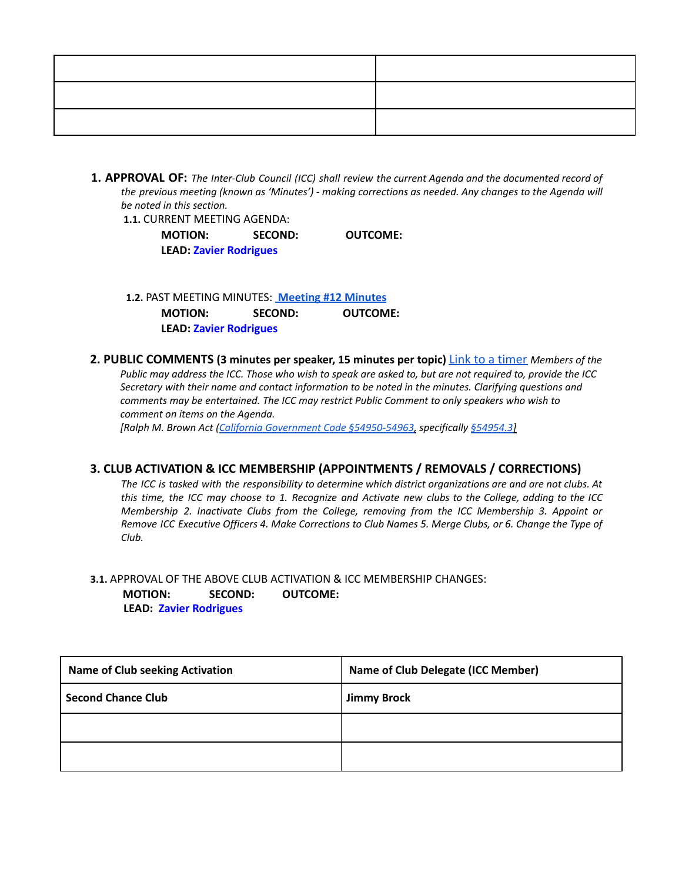**1. APPROVAL OF:** *The Inter-Club Council (ICC) shall review the current Agenda and the documented record of the previous meeting (known as 'Minutes') - making corrections as needed. Any changes to the Agenda will be noted in this section.*

**1.1.** CURRENT MEETING AGENDA:

**MOTION: SECOND: OUTCOME: LEAD: Zavier Rodrigues**

**1.2.** PAST MEETING MINUTES: **[Meeting](https://docs.google.com/document/d/1HWDCbPmpUDXvx4ltAX4o2G7qRJSY6H7CARp-tuHOhyQ/edit?usp=sharing) #12 Minutes MOTION: SECOND: OUTCOME: LEAD: Zavier Rodrigues**

**2. PUBLIC COMMENTS (3 minutes per speaker, 15 minutes per topic)** Link to a timer *Members of the* Public may address the ICC. Those who wish to speak are asked to, but are not required to, provide the ICC *Secretary with their name and contact information to be noted in the minutes. Clarifying questions and comments may be entertained. The ICC may restrict Public Comment to only speakers who wish to comment on items on the Agenda.*

*[Ralph M. Brown Act (California Government Code §54950-54963, specifically §54954.3]*

## **3. CLUB ACTIVATION & ICC MEMBERSHIP (APPOINTMENTS / REMOVALS / CORRECTIONS)**

The ICC is tasked with the responsibility to determine which district organizations are and are not clubs. At this time, the ICC may choose to 1. Recognize and Activate new clubs to the College, adding to the ICC *Membership 2. Inactivate Clubs from the College, removing from the ICC Membership 3. Appoint or* Remove ICC Executive Officers 4. Make Corrections to Club Names 5. Merge Clubs, or 6. Change the Type of *Club.*

**3.1.** APPROVAL OF THE ABOVE CLUB ACTIVATION & ICC MEMBERSHIP CHANGES: **MOTION: SECOND: OUTCOME: LEAD: Zavier Rodrigues**

| <b>Name of Club seeking Activation</b> | <b>Name of Club Delegate (ICC Member)</b> |
|----------------------------------------|-------------------------------------------|
| Second Chance Club                     | <b>Jimmy Brock</b>                        |
|                                        |                                           |
|                                        |                                           |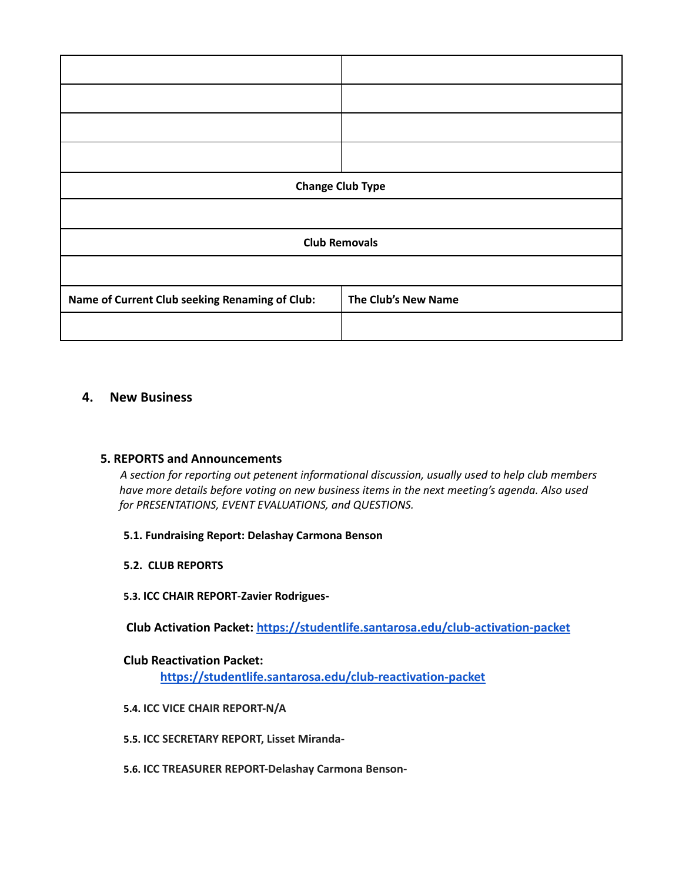| <b>Change Club Type</b>                        |                     |
|------------------------------------------------|---------------------|
|                                                |                     |
| <b>Club Removals</b>                           |                     |
|                                                |                     |
| Name of Current Club seeking Renaming of Club: | The Club's New Name |
|                                                |                     |

# **4. New Business**

## **5. REPORTS and Announcements**

*A section for reporting out petenent informational discussion, usually used to help club members have more details before voting on new business items in the next meeting's agenda. Also used for PRESENTATIONS, EVENT EVALUATIONS, and QUESTIONS.*

## **5.1. Fundraising Report: Delashay Carmona Benson**

**5.2. CLUB REPORTS**

## **5.3. ICC CHAIR REPORT**-**Zavier Rodrigues-**

**Club Activation Packet: <https://studentlife.santarosa.edu/club-activation-packet>**

# **Club Reactivation Packet:**

**<https://studentlife.santarosa.edu/club-reactivation-packet>**

## **5.4. ICC VICE CHAIR REPORT-N/A**

- **5.5. ICC SECRETARY REPORT, Lisset Miranda-**
- **5.6. ICC TREASURER REPORT-Delashay Carmona Benson-**